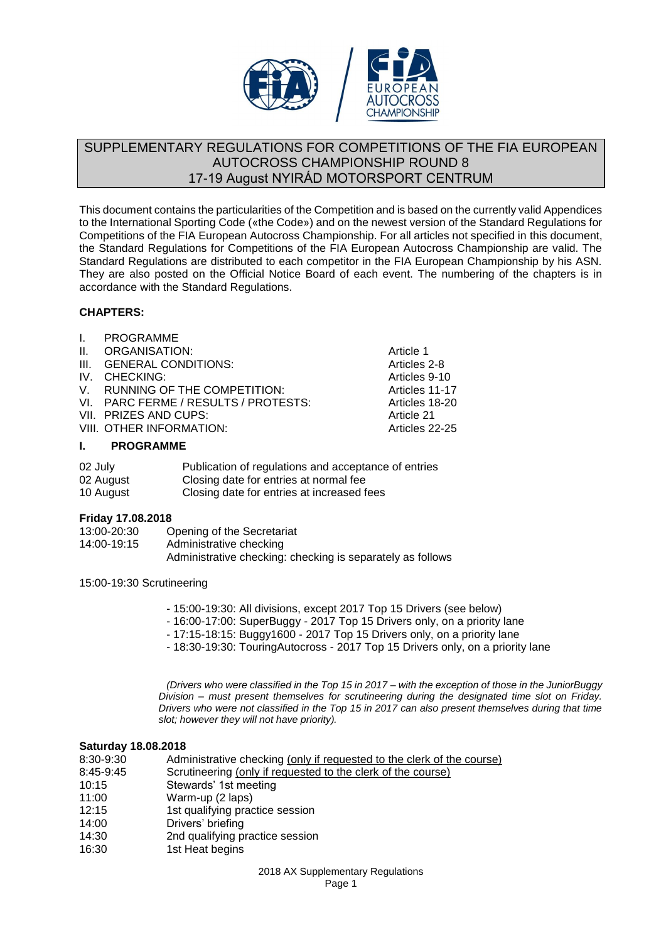

## SUPPLEMENTARY REGULATIONS FOR COMPETITIONS OF THE FIA EUROPEAN AUTOCROSS CHAMPIONSHIP ROUND 8 17-19 August NYIRÁD MOTORSPORT CENTRUM

This document contains the particularities of the Competition and is based on the currently valid Appendices to the International Sporting Code («the Code») and on the newest version of the Standard Regulations for Competitions of the FIA European Autocross Championship. For all articles not specified in this document, the Standard Regulations for Competitions of the FIA European Autocross Championship are valid. The Standard Regulations are distributed to each competitor in the FIA European Championship by his ASN. They are also posted on the Official Notice Board of each event. The numbering of the chapters is in accordance with the Standard Regulations.

## **CHAPTERS:**

I. PROGRAMME II. ORGANISATION: Article 1 III. GENERAL CONDITIONS: Articles 2-8 IV. CHECKING: Articles 9-10 V. RUNNING OF THE COMPETITION: VI. PARC FERME / RESULTS / PROTESTS: Articles 18-20 VII. PRIZES AND CUPS: Article 21 VIII. OTHER INFORMATION:

#### **I. PROGRAMME**

| 02 July   | Publication of regulations and acceptance of entries |
|-----------|------------------------------------------------------|
| 02 August | Closing date for entries at normal fee               |
| 10 August | Closing date for entries at increased fees           |

## **Friday 17.08.2018**

| 13:00-20:30 | Opening of the Secretariat                                 |
|-------------|------------------------------------------------------------|
| 14:00-19:15 | Administrative checking                                    |
|             | Administrative checking: checking is separately as follows |

15:00-19:30 Scrutineering

- 15:00-19:30: All divisions, except 2017 Top 15 Drivers (see below)
- 16:00-17:00: SuperBuggy 2017 Top 15 Drivers only, on a priority lane
- 17:15-18:15: Buggy1600 2017 Top 15 Drivers only, on a priority lane
- 18:30-19:30: TouringAutocross 2017 Top 15 Drivers only, on a priority lane

*(Drivers who were classified in the Top 15 in 2017 – with the exception of those in the JuniorBuggy Division – must present themselves for scrutineering during the designated time slot on Friday. Drivers who were not classified in the Top 15 in 2017 can also present themselves during that time slot; however they will not have priority).*

#### **Saturday 18.08.2018**

| 8:30-9:30 | Administrative checking (only if requested to the clerk of the course) |  |  |  |
|-----------|------------------------------------------------------------------------|--|--|--|
| 8:45-9:45 | Scrutineering (only if requested to the clerk of the course)           |  |  |  |
| 10:15     | Stewards' 1st meeting                                                  |  |  |  |
| 11:00     | Warm-up (2 laps)                                                       |  |  |  |
| 12:15     | 1st qualifying practice session                                        |  |  |  |
| 14:00     | Drivers' briefing                                                      |  |  |  |
| 14:30     | 2nd qualifying practice session                                        |  |  |  |
| 16:30     | 1st Heat begins                                                        |  |  |  |
|           |                                                                        |  |  |  |

2018 AX Supplementary Regulations Page 1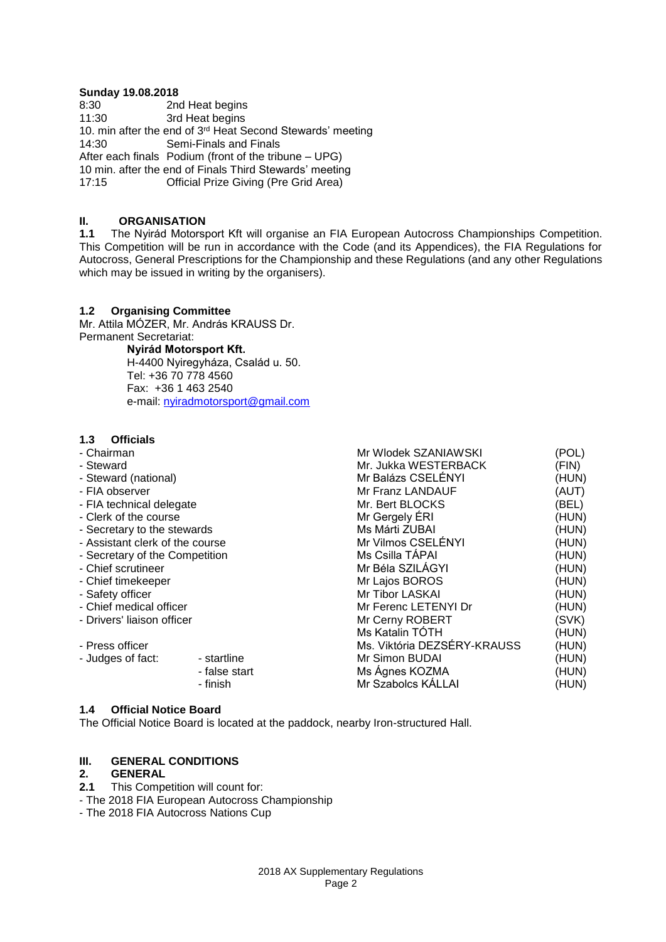# **Sunday 19.08.2018**<br>8:30 2n

8:30 2nd Heat begins<br>11:30 3rd Heat begins 3rd Heat begins 10. min after the end of  $3<sup>rd</sup>$  Heat Second Stewards' meeting 14:30 Semi-Finals and Finals Semi-Finals and Finals After each finals Podium (front of the tribune – UPG) 10 min. after the end of Finals Third Stewards' meeting Official Prize Giving (Pre Grid Area)

# **II. ORGANISATION**<br>**1.1** The Nvirád Motorsi

**1.1** The Nyirád Motorsport Kft will organise an FIA European Autocross Championships Competition. This Competition will be run in accordance with the Code (and its Appendices), the FIA Regulations for Autocross, General Prescriptions for the Championship and these Regulations (and any other Regulations which may be issued in writing by the organisers).

#### **1.2 Organising Committee**

Mr. Attila MÓZER, Mr. András KRAUSS Dr. Permanent Secretariat:

**Nyirád Motorsport Kft.**

H-4400 Nyiregyháza, Család u. 50. Tel: +36 70 778 4560 Fax: +36 1 463 2540 e-mail: [nyiradmotorsport@gmail.com](mailto:nyiradmotorsport@gmail.com)

#### **1.3 Officials**

| - Chairman                      |               | Mr Wlodek SZANIAWSKI        | (POL) |
|---------------------------------|---------------|-----------------------------|-------|
| - Steward                       |               | Mr. Jukka WESTERBACK        | (FIN) |
| - Steward (national)            |               | Mr Balázs CSELÉNYI          | (HUN) |
| - FIA observer                  |               | Mr Franz LANDAUF            | (AUT) |
| - FIA technical delegate        |               | Mr. Bert BLOCKS             | (BEL) |
| - Clerk of the course           |               | Mr Gergely ERI              | (HUN) |
| - Secretary to the stewards     |               | Ms Márti ZUBAI              | (HUN) |
| - Assistant clerk of the course |               | Mr Vilmos CSELÉNYI          | (HUN) |
| - Secretary of the Competition  |               | Ms Csilla TÁPAI             | (HUN) |
| - Chief scrutineer              |               | Mr Béla SZILÁGYI            | (HUN) |
| - Chief timekeeper              |               | Mr Lajos BOROS              | (HUN) |
| - Safety officer                |               | Mr Tibor LASKAI             | (HUN) |
| - Chief medical officer         |               | Mr Ferenc LETENYI Dr        | (HUN) |
| - Drivers' liaison officer      |               | Mr Cerny ROBERT             | (SVK) |
|                                 |               | Ms Katalin TÓTH             | (HUN) |
| - Press officer                 |               | Ms. Viktória DEZSÉRY-KRAUSS | (HUN) |
| - Judges of fact:               | - startline   | Mr Simon BUDAI              | (HUN) |
|                                 | - false start | Ms Ágnes KOZMA              | (HUN) |
|                                 | - finish      | Mr Szabolcs KÁLLAI          | (HUN) |
|                                 |               |                             |       |

#### **1.4 Official Notice Board**

The Official Notice Board is located at the paddock, nearby Iron-structured Hall.

## **III. GENERAL CONDITIONS**

#### **2. GENERAL**

**2.1** This Competition will count for:

- The 2018 FIA European Autocross Championship

- The 2018 FIA Autocross Nations Cup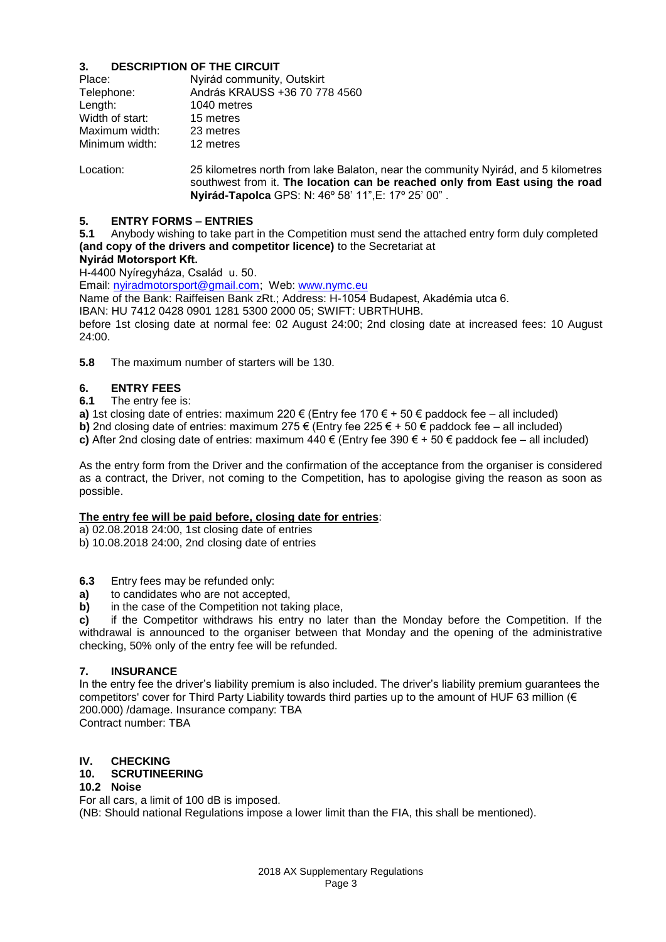## **3. DESCRIPTION OF THE CIRCUIT**

| Place:          | Nyirád community, Outskirt    |  |  |
|-----------------|-------------------------------|--|--|
| Telephone:      | András KRAUSS +36 70 778 4560 |  |  |
| Length:         | 1040 metres                   |  |  |
| Width of start: | 15 metres                     |  |  |
| Maximum width:  | 23 metres                     |  |  |
| Minimum width:  | 12 metres                     |  |  |

Location: 25 kilometres north from lake Balaton, near the community Nyirád, and 5 kilometres southwest from it. **The location can be reached only from East using the road Nyirád-Tapolca** GPS: N: 46º 58' 11",E: 17º 25' 00" .

#### **5. ENTRY FORMS – ENTRIES**

**5.1** Anybody wishing to take part in the Competition must send the attached entry form duly completed **(and copy of the drivers and competitor licence)** to the Secretariat at

## **Nyirád Motorsport Kft.**

H-4400 Nyíregyháza, Család u. 50.

Email: [nyiradmotorsport@gmail.com;](mailto:nyiradmotorsport@gmail.com?subject=Nyirád%20AX%20EC%202015) Web[: www.nymc.eu](http://www.nymc.eu/)

Name of the Bank: Raiffeisen Bank zRt.; Address: H-1054 Budapest, Akadémia utca 6.

IBAN: HU 7412 0428 0901 1281 5300 2000 05; SWIFT: UBRTHUHB.

before 1st closing date at normal fee: 02 August 24:00; 2nd closing date at increased fees: 10 August 24:00.

**5.8** The maximum number of starters will be 130.

## **6. ENTRY FEES**

**6.1** The entry fee is:

**a)** 1st closing date of entries: maximum 220 € (Entry fee 170 € + 50 € paddock fee – all included)

**b)** 2nd closing date of entries: maximum 275  $\epsilon$  (Entry fee 225  $\epsilon$  + 50  $\epsilon$  paddock fee – all included)

**c)** After 2nd closing date of entries: maximum 440  $\epsilon$  (Entry fee 390  $\epsilon$  + 50  $\epsilon$  paddock fee – all included)

As the entry form from the Driver and the confirmation of the acceptance from the organiser is considered as a contract, the Driver, not coming to the Competition, has to apologise giving the reason as soon as possible.

## **The entry fee will be paid before, closing date for entries**:

a) 02.08.2018 24:00, 1st closing date of entries

b) 10.08.2018 24:00, 2nd closing date of entries

- **6.3** Entry fees may be refunded only:
- **a)** to candidates who are not accepted,
- **b)** in the case of the Competition not taking place,

**c)** if the Competitor withdraws his entry no later than the Monday before the Competition. If the withdrawal is announced to the organiser between that Monday and the opening of the administrative checking, 50% only of the entry fee will be refunded.

#### **7. INSURANCE**

In the entry fee the driver's liability premium is also included. The driver's liability premium guarantees the competitors' cover for Third Party Liability towards third parties up to the amount of HUF 63 million (€ 200.000) /damage. Insurance company: TBA Contract number: TBA

# **IV. CHECKING**

## **10. SCRUTINEERING**

## **10.2 Noise**

For all cars, a limit of 100 dB is imposed. (NB: Should national Regulations impose a lower limit than the FIA, this shall be mentioned).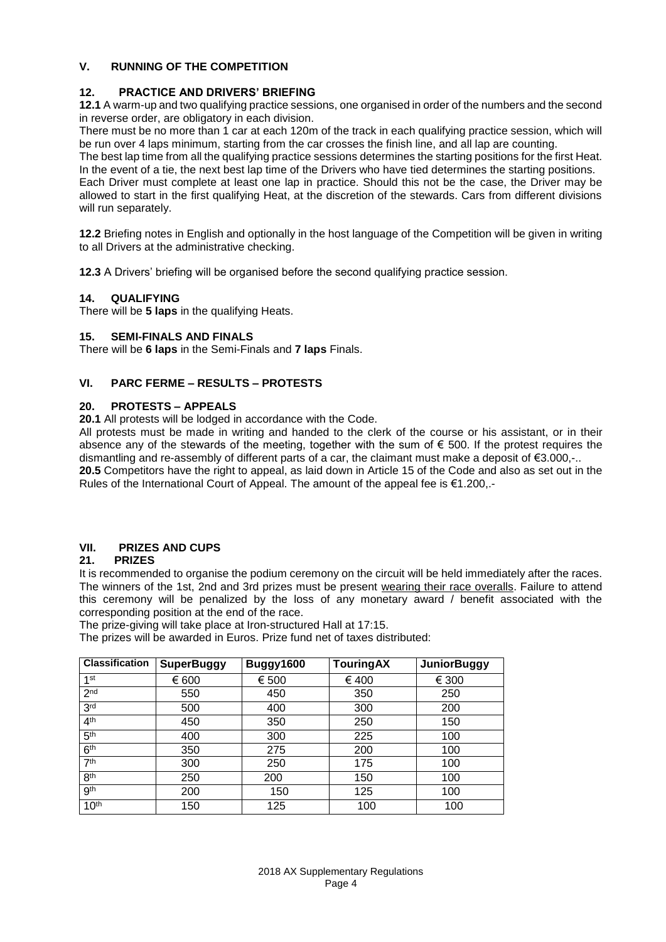## **V. RUNNING OF THE COMPETITION**

## **12. PRACTICE AND DRIVERS' BRIEFING**

**12.1** A warm-up and two qualifying practice sessions, one organised in order of the numbers and the second in reverse order, are obligatory in each division.

There must be no more than 1 car at each 120m of the track in each qualifying practice session, which will be run over 4 laps minimum, starting from the car crosses the finish line, and all lap are counting.

The best lap time from all the qualifying practice sessions determines the starting positions for the first Heat. In the event of a tie, the next best lap time of the Drivers who have tied determines the starting positions.

Each Driver must complete at least one lap in practice. Should this not be the case, the Driver may be allowed to start in the first qualifying Heat, at the discretion of the stewards. Cars from different divisions will run separately.

**12.2** Briefing notes in English and optionally in the host language of the Competition will be given in writing to all Drivers at the administrative checking.

**12.3** A Drivers' briefing will be organised before the second qualifying practice session.

## **14. QUALIFYING**

There will be **5 laps** in the qualifying Heats.

## **15. SEMI-FINALS AND FINALS**

There will be **6 laps** in the Semi-Finals and **7 laps** Finals.

## **VI. PARC FERME – RESULTS – PROTESTS**

## **20. PROTESTS – APPEALS**

**20.1** All protests will be lodged in accordance with the Code.

All protests must be made in writing and handed to the clerk of the course or his assistant, or in their absence any of the stewards of the meeting, together with the sum of  $\epsilon$  500. If the protest requires the dismantling and re-assembly of different parts of a car, the claimant must make a deposit of €3.000,-.. **20.5** Competitors have the right to appeal, as laid down in Article 15 of the Code and also as set out in the Rules of the International Court of Appeal. The amount of the appeal fee is €1.200,.-

## **VII. PRIZES AND CUPS**

## **21. PRIZES**

It is recommended to organise the podium ceremony on the circuit will be held immediately after the races. The winners of the 1st, 2nd and 3rd prizes must be present wearing their race overalls. Failure to attend this ceremony will be penalized by the loss of any monetary award / benefit associated with the corresponding position at the end of the race.

The prize-giving will take place at Iron-structured Hall at 17:15.

The prizes will be awarded in Euros. Prize fund net of taxes distributed:

| <b>Classification</b> | <b>SuperBuggy</b> | Buggy1600 | <b>TouringAX</b> | <b>JuniorBuggy</b> |
|-----------------------|-------------------|-----------|------------------|--------------------|
| 1st                   | € 600             | € 500     | € 400            | € 300              |
| 2 <sub>nd</sub>       | 550               | 450       | 350              | 250                |
| 3 <sup>rd</sup>       | 500               | 400       | 300              | 200                |
| 4 <sup>th</sup>       | 450               | 350       | 250              | 150                |
| 5 <sup>th</sup>       | 400               | 300       | 225              | 100                |
| 6 <sup>th</sup>       | 350               | 275       | 200              | 100                |
| 7 <sup>th</sup>       | 300               | 250       | 175              | 100                |
| 8 <sup>th</sup>       | 250               | 200       | 150              | 100                |
| gth                   | 200               | 150       | 125              | 100                |
| 10 <sup>th</sup>      | 150               | 125       | 100              | 100                |